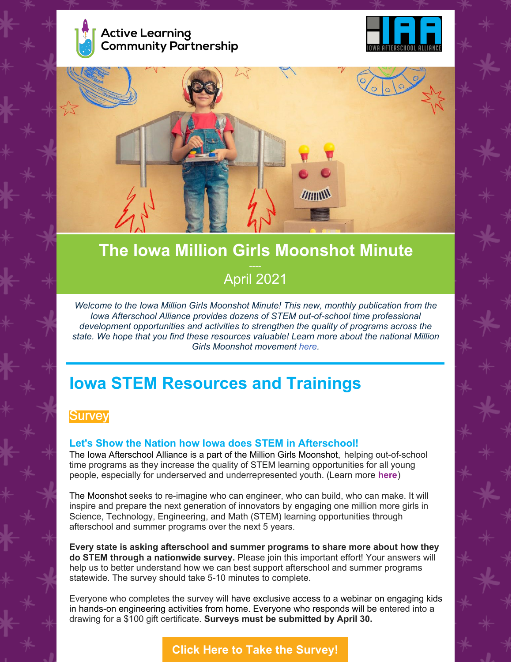





# **The Iowa Million Girls Moonshot Minute** April 2021

*Welcome to the Iowa Million Girls Moonshot Minute! This new, monthly publication from the Iowa Afterschool Alliance provides dozens of STEM out-of-school time professional development opportunities and activities to strengthen the quality of programs across the state. We hope that you find these resources valuable! Learn more about the national Million Girls Moonshot movement [here](https://milliongirlsmoonshot.org/).*

# **Iowa STEM Resources and Trainings**

## **Survey**

#### **Let's Show the Nation how Iowa does STEM in Afterschool!**

The Iowa Afterschool Alliance is a part of the Million Girls Moonshot, helping out-of-school time programs as they increase the quality of STEM learning opportunities for all young people, especially for underserved and underrepresented youth. (Learn more **[here](https://milliongirlsmoonshot.org/)**)

The Moonshot seeks to re-imagine who can engineer, who can build, who can make. It will inspire and prepare the next generation of innovators by engaging one million more girls in Science, Technology, Engineering, and Math (STEM) learning opportunities through afterschool and summer programs over the next 5 years.

**Every state is asking afterschool and summer programs to share more about how they do STEM through a nationwide survey.** Please join this important effort! Your answers will help us to better understand how we can best support afterschool and summer programs statewide. The survey should take 5-10 minutes to complete.

Everyone who completes the survey will have exclusive access to a webinar on engaging kids in hands-on engineering activities from home. Everyone who responds will be entered into a drawing for a \$100 gift certificate. **Surveys must be submitted by April 30.**

**Click Here to Take the [Survey!](https://www.surveymonkey.com/r/mgm2021)**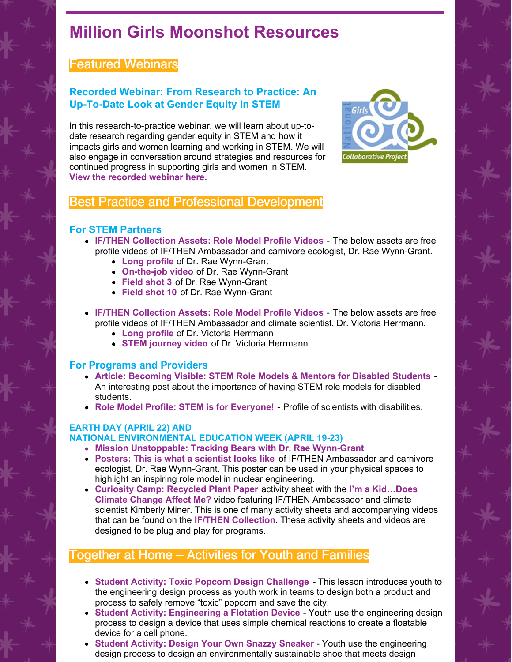# **Million Girls Moonshot Resources**

# Featured Webinars

#### **Recorded Webinar: From Research to Practice: An Up-To-Date Look at Gender Equity in STEM**

In this research-to-practice webinar, we will learn about up-todate research regarding gender equity in STEM and how it impacts girls and women learning and working in STEM. We will also engage in conversation around strategies and resources for continued progress in supporting girls and women in STEM. **View the [recorded](https://www.youtube.com/watch?v=_KUi8E2KPxI&t=1s) webinar here.**



### Best Practice and Professional Development

#### **For STEM Partners**

- **IF/THEN [Collection](https://www.ifthencollection.org/) Assets: Role Model Profile Videos** The below assets are free profile videos of IF/THEN Ambassador and carnivore ecologist, Dr. Rae Wynn-Grant.
	- **Long [profile](https://ifthen.widen.net/view/video/de2kjznvdq/16_WYNN_GRANT_PROFILE_v2?x.share=true&x.portal_shortcode_generated=9ymlrpce&x.app=portals)** of Dr. Rae Wynn-Grant
	- **[On-the-job](https://ifthen.widen.net/view/video/ajt8xsoky3/16_WYNN_GRANT_STEM_IN_JOB_v1?x.share=true&x.portal_shortcode_generated=9ymlrpce&x.app=portals) video** of Dr. Rae Wynn-Grant
	- **[Field](https://ifthen.widen.net/view/thumbnail/zjjvuu4ibd/_DSC8375?w=640&keep=c&crop=yes&quality=80&t.format=jpeg&x.share=true&x.portal_shortcode_generated=9ymlrpce&x.app=portals) shot 3** of Dr. Rae Wynn-Grant
	- **[Field](https://ifthen.widen.net/view/thumbnail/gyw0fvnge4/DSC01406?w=640&keep=c&crop=yes&quality=80&t.format=jpeg&x.share=true&x.portal_shortcode_generated=9ymlrpce&x.app=portals) shot 10** of Dr. Rae Wynn-Grant
- **IF/THEN [Collection](https://www.ifthencollection.org/) Assets: Role Model Profile Videos** The below assets are free profile videos of IF/THEN Ambassador and climate scientist, Dr. Victoria Herrmann.
	- **Long [profile](https://ifthen.widen.net/view/video/bw8cpdchsc/EPK_IfThenSummit_VICTORIA-HERRMANN_Video-1_rh_V2?x.share=true&x.portal_shortcode_generated=9ymlrpce&x.app=portals)** of Dr. Victoria Herrmann
	- **STEM [journey](https://ifthen.widen.net/view/video/f3idlcr5te/EPK_IfThenSummit_VICTORIA-HERRMANN_Video-3_rh_V2?x.share=true&x.portal_shortcode_generated=9ymlrpce&x.app=portals) video** of Dr. Victoria Herrmann

#### **For Programs and Providers**

- **Article: [Becoming](https://www.stairwaytostem.org/stem-role-models-mentoring-disabled-students/) Visible: STEM Role Models & Mentors for Disabled Students** An interesting post about the importance of having STEM role models for disabled students.
- **Role Model Profile: STEM is for [Everyone!](https://www.sciencebuddies.org/blog/scientists-with-disabilities)** Profile of scientists with disabilities.

#### **EARTH DAY (APRIL 22) AND**

#### **NATIONAL ENVIRONMENTAL EDUCATION WEEK (APRIL 19-23)**

- **Mission [Unstoppable:](https://ifthen.widen.net/view/video/vtx2kub9hp/MIUN_9304_GRANT_FULL_SOCIAL_v1?x.share=true&x.portal_shortcode_generated=9ymlrpce&x.app=portals) Tracking Bears with Dr. Rae Wynn-Grant**
- **Posters: This is what a [scientist](https://ifthen.widen.net/view/pdf/yj9zg9eufe/Rae-Wynn-Grant-Poster?t.download=true&x.share=true&x.portal_shortcode_generated=9ymlrpce&x.app=portals) looks like** of IF/THEN Ambassador and carnivore ecologist, Dr. Rae Wynn-Grant. This poster can be used in your physical spaces to highlight an inspiring role model in nuclear engineering.
- **Curiosity Camp: [Recycled](https://ifthen.widen.net/view/pdf/tly0749r5m/CC_Ep_01_092120?t.download=true&x.share=true&x.portal_shortcode_generated=9ymlrpce&x.app=portals) Plant Paper** activity sheet with the **[I](https://ifthen.widen.net/view/video/n8cfmcohxv/WTS1-01_Kimberly_TR_v7?x.share=true&x.portal_shortcode_generated=9ymlrpce&x.app=portals)'m a Kid…Does Climate Change Affect Me?** video featuring IF/THEN [Ambassador](https://ifthen.widen.net/view/video/n8cfmcohxv/WTS1-01_Kimberly_TR_v7?x.share=true&x.portal_shortcode_generated=9ymlrpce&x.app=portals) and climate scientist Kimberly Miner. This is one of many activity sheets and accompanying videos that can be found on th[e](https://www.ifthencollection.org/) **IF/THEN [Collection](https://www.ifthencollection.org/)**. These activity sheets and videos are designed to be plug and play for programs.

# Together at Home – Activities for Youth and Families

- **Student Activity: Toxic Popcorn Design [Challenge](https://tryengineering.org/teacher/toxic-popcorn-design-challenge/)** This lesson introduces youth to the engineering design process as youth work in teams to design both a product and process to safely remove "toxic" popcorn and save the city.
- **Student Activity: [Engineering](https://www.acs.org/content/acs/en/education/resources/k-8/inquiryinaction/fifth-grade/chapter-5/enginerring-flotation-device.html) a Flotation Device** Youth use the engineering design process to design a device that uses simple chemical reactions to create a floatable device for a cell phone.
- **Student [Activity:](https://www.teachengineering.org/makerchallenges/view/cub_sneaker_maker1) Design Your Own Snazzy Sneaker** Youth use the engineering design process to design an environmentally sustainable shoe that meets design